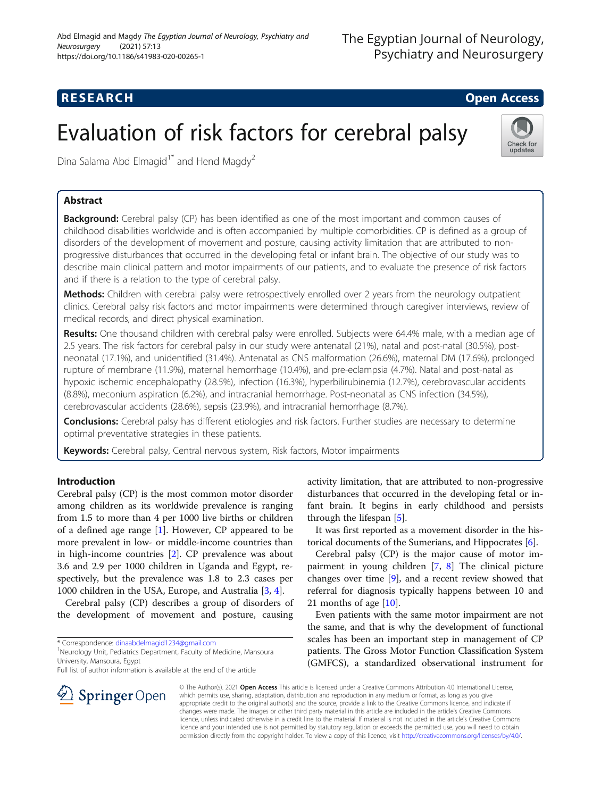# **RESEARCH CHE Open Access**

# Evaluation of risk factors for cerebral palsy



Dina Salama Abd Elmagid<sup>1\*</sup> and Hend Magdy<sup>2</sup>

# Abstract

**Background:** Cerebral palsy (CP) has been identified as one of the most important and common causes of childhood disabilities worldwide and is often accompanied by multiple comorbidities. CP is defined as a group of disorders of the development of movement and posture, causing activity limitation that are attributed to nonprogressive disturbances that occurred in the developing fetal or infant brain. The objective of our study was to describe main clinical pattern and motor impairments of our patients, and to evaluate the presence of risk factors and if there is a relation to the type of cerebral palsy.

Methods: Children with cerebral palsy were retrospectively enrolled over 2 years from the neurology outpatient clinics. Cerebral palsy risk factors and motor impairments were determined through caregiver interviews, review of medical records, and direct physical examination.

Results: One thousand children with cerebral palsy were enrolled. Subjects were 64.4% male, with a median age of 2.5 years. The risk factors for cerebral palsy in our study were antenatal (21%), natal and post-natal (30.5%), postneonatal (17.1%), and unidentified (31.4%). Antenatal as CNS malformation (26.6%), maternal DM (17.6%), prolonged rupture of membrane (11.9%), maternal hemorrhage (10.4%), and pre-eclampsia (4.7%). Natal and post-natal as hypoxic ischemic encephalopathy (28.5%), infection (16.3%), hyperbilirubinemia (12.7%), cerebrovascular accidents (8.8%), meconium aspiration (6.2%), and intracranial hemorrhage. Post-neonatal as CNS infection (34.5%), cerebrovascular accidents (28.6%), sepsis (23.9%), and intracranial hemorrhage (8.7%).

Conclusions: Cerebral palsy has different etiologies and risk factors. Further studies are necessary to determine optimal preventative strategies in these patients.

Keywords: Cerebral palsy, Central nervous system, Risk factors, Motor impairments

## Introduction

Cerebral palsy (CP) is the most common motor disorder among children as its worldwide prevalence is ranging from 1.5 to more than 4 per 1000 live births or children of a defined age range [[1\]](#page-7-0). However, CP appeared to be more prevalent in low- or middle-income countries than in high-income countries [[2\]](#page-7-0). CP prevalence was about 3.6 and 2.9 per 1000 children in Uganda and Egypt, respectively, but the prevalence was 1.8 to 2.3 cases per 1000 children in the USA, Europe, and Australia [[3,](#page-7-0) [4\]](#page-7-0).

Cerebral palsy (CP) describes a group of disorders of the development of movement and posture, causing

\* Correspondence: [dinaabdelmagid1234@gmail.com](mailto:dinaabdelmagid1234@gmail.com) <sup>1</sup>

<sup>1</sup>Neurology Unit, Pediatrics Department, Faculty of Medicine, Mansoura University, Mansoura, Egypt

Full list of author information is available at the end of the article

activity limitation, that are attributed to non-progressive disturbances that occurred in the developing fetal or infant brain. It begins in early childhood and persists through the lifespan [\[5](#page-7-0)].

It was first reported as a movement disorder in the historical documents of the Sumerians, and Hippocrates [\[6](#page-7-0)].

Cerebral palsy (CP) is the major cause of motor impairment in young children [\[7](#page-8-0), [8](#page-8-0)] The clinical picture changes over time  $[9]$  $[9]$ , and a recent review showed that referral for diagnosis typically happens between 10 and 21 months of age [[10\]](#page-8-0).

Even patients with the same motor impairment are not the same, and that is why the development of functional scales has been an important step in management of CP patients. The Gross Motor Function Classification System (GMFCS), a standardized observational instrument for



© The Author(s). 2021 Open Access This article is licensed under a Creative Commons Attribution 4.0 International License, which permits use, sharing, adaptation, distribution and reproduction in any medium or format, as long as you give appropriate credit to the original author(s) and the source, provide a link to the Creative Commons licence, and indicate if changes were made. The images or other third party material in this article are included in the article's Creative Commons licence, unless indicated otherwise in a credit line to the material. If material is not included in the article's Creative Commons licence and your intended use is not permitted by statutory regulation or exceeds the permitted use, you will need to obtain permission directly from the copyright holder. To view a copy of this licence, visit <http://creativecommons.org/licenses/by/4.0/>.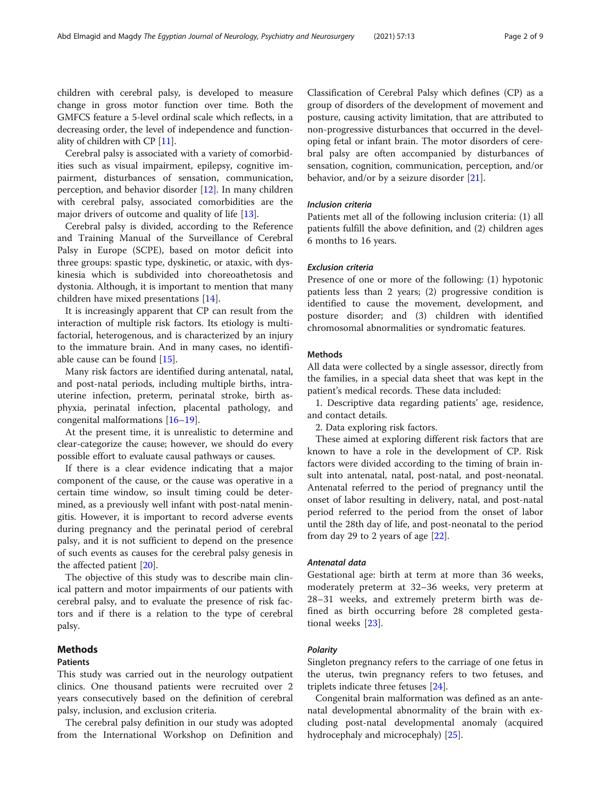children with cerebral palsy, is developed to measure change in gross motor function over time. Both the GMFCS feature a 5-level ordinal scale which reflects, in a decreasing order, the level of independence and functionality of children with CP [[11](#page-8-0)].

Cerebral palsy is associated with a variety of comorbidities such as visual impairment, epilepsy, cognitive impairment, disturbances of sensation, communication, perception, and behavior disorder [[12](#page-8-0)]. In many children with cerebral palsy, associated comorbidities are the major drivers of outcome and quality of life [[13](#page-8-0)].

Cerebral palsy is divided, according to the Reference and Training Manual of the Surveillance of Cerebral Palsy in Europe (SCPE), based on motor deficit into three groups: spastic type, dyskinetic, or ataxic, with dyskinesia which is subdivided into choreoathetosis and dystonia. Although, it is important to mention that many children have mixed presentations [\[14](#page-8-0)].

It is increasingly apparent that CP can result from the interaction of multiple risk factors. Its etiology is multifactorial, heterogenous, and is characterized by an injury to the immature brain. And in many cases, no identifiable cause can be found [[15\]](#page-8-0).

Many risk factors are identified during antenatal, natal, and post-natal periods, including multiple births, intrauterine infection, preterm, perinatal stroke, birth asphyxia, perinatal infection, placental pathology, and congenital malformations [\[16](#page-8-0)–[19\]](#page-8-0).

At the present time, it is unrealistic to determine and clear-categorize the cause; however, we should do every possible effort to evaluate causal pathways or causes.

If there is a clear evidence indicating that a major component of the cause, or the cause was operative in a certain time window, so insult timing could be determined, as a previously well infant with post-natal meningitis. However, it is important to record adverse events during pregnancy and the perinatal period of cerebral palsy, and it is not sufficient to depend on the presence of such events as causes for the cerebral palsy genesis in the affected patient [[20](#page-8-0)].

The objective of this study was to describe main clinical pattern and motor impairments of our patients with cerebral palsy, and to evaluate the presence of risk factors and if there is a relation to the type of cerebral palsy.

# Methods

### Patients

This study was carried out in the neurology outpatient clinics. One thousand patients were recruited over 2 years consecutively based on the definition of cerebral palsy, inclusion, and exclusion criteria.

The cerebral palsy definition in our study was adopted from the International Workshop on Definition and Classification of Cerebral Palsy which defines (CP) as a group of disorders of the development of movement and posture, causing activity limitation, that are attributed to non-progressive disturbances that occurred in the developing fetal or infant brain. The motor disorders of cerebral palsy are often accompanied by disturbances of sensation, cognition, communication, perception, and/or behavior, and/or by a seizure disorder [\[21\]](#page-8-0).

#### Inclusion criteria

Patients met all of the following inclusion criteria: (1) all patients fulfill the above definition, and (2) children ages 6 months to 16 years.

#### Exclusion criteria

Presence of one or more of the following: (1) hypotonic patients less than 2 years; (2) progressive condition is identified to cause the movement, development, and posture disorder; and (3) children with identified chromosomal abnormalities or syndromatic features.

#### Methods

All data were collected by a single assessor, directly from the families, in a special data sheet that was kept in the patient's medical records. These data included:

1. Descriptive data regarding patients' age, residence, and contact details.

2. Data exploring risk factors.

These aimed at exploring different risk factors that are known to have a role in the development of CP. Risk factors were divided according to the timing of brain insult into antenatal, natal, post-natal, and post-neonatal. Antenatal referred to the period of pregnancy until the onset of labor resulting in delivery, natal, and post-natal period referred to the period from the onset of labor until the 28th day of life, and post-neonatal to the period from day 29 to 2 years of age  $[22]$  $[22]$ .

#### Antenatal data

Gestational age: birth at term at more than 36 weeks, moderately preterm at 32–36 weeks, very preterm at 28–31 weeks, and extremely preterm birth was defined as birth occurring before 28 completed gestational weeks [\[23](#page-8-0)].

#### Polarity

Singleton pregnancy refers to the carriage of one fetus in the uterus, twin pregnancy refers to two fetuses, and triplets indicate three fetuses [[24\]](#page-8-0).

Congenital brain malformation was defined as an antenatal developmental abnormality of the brain with excluding post-natal developmental anomaly (acquired hydrocephaly and microcephaly) [[25\]](#page-8-0).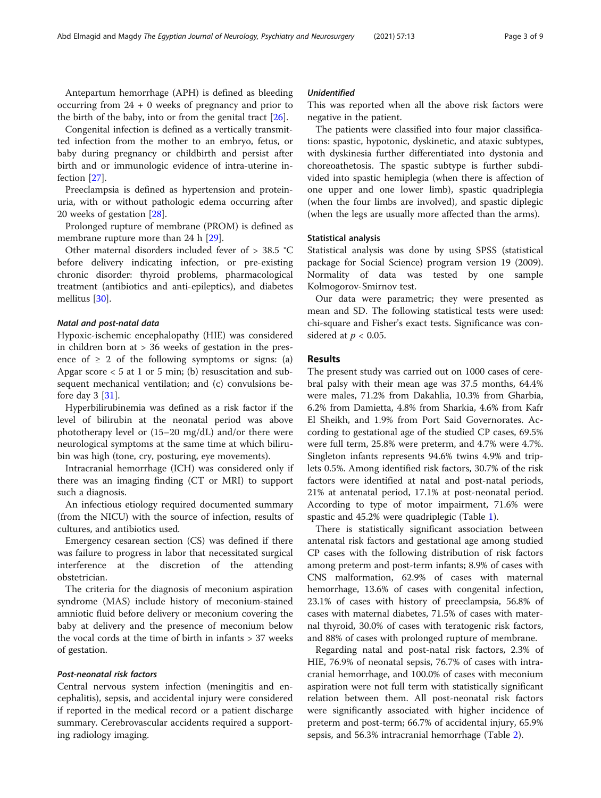Antepartum hemorrhage (APH) is defined as bleeding occurring from 24 + 0 weeks of pregnancy and prior to the birth of the baby, into or from the genital tract [[26\]](#page-8-0).

Congenital infection is defined as a vertically transmitted infection from the mother to an embryo, fetus, or baby during pregnancy or childbirth and persist after birth and or immunologic evidence of intra-uterine infection [[27\]](#page-8-0).

Preeclampsia is defined as hypertension and proteinuria, with or without pathologic edema occurring after 20 weeks of gestation [\[28](#page-8-0)].

Prolonged rupture of membrane (PROM) is defined as membrane rupture more than 24 h [[29\]](#page-8-0).

Other maternal disorders included fever of > 38.5 °C before delivery indicating infection, or pre-existing chronic disorder: thyroid problems, pharmacological treatment (antibiotics and anti-epileptics), and diabetes mellitus [\[30](#page-8-0)].

#### Natal and post-natal data

Hypoxic-ischemic encephalopathy (HIE) was considered in children born at > 36 weeks of gestation in the presence of  $\geq 2$  of the following symptoms or signs: (a) Apgar score  $< 5$  at 1 or 5 min; (b) resuscitation and subsequent mechanical ventilation; and (c) convulsions before day 3 [[31](#page-8-0)].

Hyperbilirubinemia was defined as a risk factor if the level of bilirubin at the neonatal period was above phototherapy level or (15–20 mg/dL) and/or there were neurological symptoms at the same time at which bilirubin was high (tone, cry, posturing, eye movements).

Intracranial hemorrhage (ICH) was considered only if there was an imaging finding (CT or MRI) to support such a diagnosis.

An infectious etiology required documented summary (from the NICU) with the source of infection, results of cultures, and antibiotics used.

Emergency cesarean section (CS) was defined if there was failure to progress in labor that necessitated surgical interference at the discretion of the attending obstetrician.

The criteria for the diagnosis of meconium aspiration syndrome (MAS) include history of meconium-stained amniotic fluid before delivery or meconium covering the baby at delivery and the presence of meconium below the vocal cords at the time of birth in infants > 37 weeks of gestation.

#### Post-neonatal risk factors

Central nervous system infection (meningitis and encephalitis), sepsis, and accidental injury were considered if reported in the medical record or a patient discharge summary. Cerebrovascular accidents required a supporting radiology imaging.

#### Unidentified

This was reported when all the above risk factors were negative in the patient.

The patients were classified into four major classifications: spastic, hypotonic, dyskinetic, and ataxic subtypes, with dyskinesia further differentiated into dystonia and choreoathetosis. The spastic subtype is further subdivided into spastic hemiplegia (when there is affection of one upper and one lower limb), spastic quadriplegia (when the four limbs are involved), and spastic diplegic (when the legs are usually more affected than the arms).

#### Statistical analysis

Statistical analysis was done by using SPSS (statistical package for Social Science) program version 19 (2009). Normality of data was tested by one sample Kolmogorov-Smirnov test.

Our data were parametric; they were presented as mean and SD. The following statistical tests were used: chi-square and Fisher's exact tests. Significance was considered at  $p < 0.05$ .

#### Results

The present study was carried out on 1000 cases of cerebral palsy with their mean age was 37.5 months, 64.4% were males, 71.2% from Dakahlia, 10.3% from Gharbia, 6.2% from Damietta, 4.8% from Sharkia, 4.6% from Kafr El Sheikh, and 1.9% from Port Said Governorates. According to gestational age of the studied CP cases, 69.5% were full term, 25.8% were preterm, and 4.7% were 4.7%. Singleton infants represents 94.6% twins 4.9% and triplets 0.5%. Among identified risk factors, 30.7% of the risk factors were identified at natal and post-natal periods, 21% at antenatal period, 17.1% at post-neonatal period. According to type of motor impairment, 71.6% were spastic and 45.2% were quadriplegic (Table [1](#page-3-0)).

There is statistically significant association between antenatal risk factors and gestational age among studied CP cases with the following distribution of risk factors among preterm and post-term infants; 8.9% of cases with CNS malformation, 62.9% of cases with maternal hemorrhage, 13.6% of cases with congenital infection, 23.1% of cases with history of preeclampsia, 56.8% of cases with maternal diabetes, 71.5% of cases with maternal thyroid, 30.0% of cases with teratogenic risk factors, and 88% of cases with prolonged rupture of membrane.

Regarding natal and post-natal risk factors, 2.3% of HIE, 76.9% of neonatal sepsis, 76.7% of cases with intracranial hemorrhage, and 100.0% of cases with meconium aspiration were not full term with statistically significant relation between them. All post-neonatal risk factors were significantly associated with higher incidence of preterm and post-term; 66.7% of accidental injury, 65.9% sepsis, and 56.3% intracranial hemorrhage (Table [2\)](#page-4-0).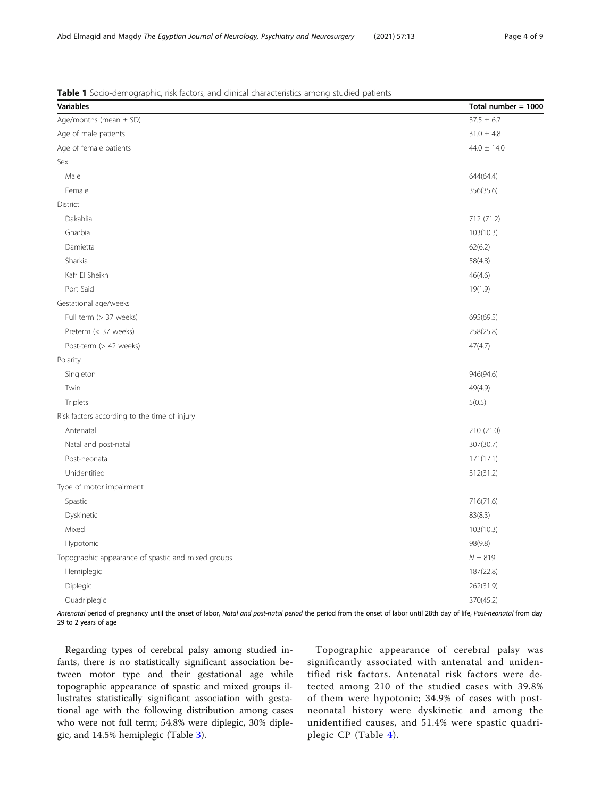<span id="page-3-0"></span>Abd Elmagid and Magdy The Egyptian Journal of Neurology, Psychiatry and Neurosurgery (2021) 57:13 Page 4 of 9

Table 1 Socio-demographic, risk factors, and clinical characteristics among studied patients

| <b>Variables</b>                                   | Total number = $1000$ |
|----------------------------------------------------|-----------------------|
| Age/months (mean $\pm$ SD)                         | $37.5 \pm 6.7$        |
| Age of male patients                               | $31.0 \pm 4.8$        |
| Age of female patients                             | $44.0 \pm 14.0$       |
| Sex                                                |                       |
| Male                                               | 644(64.4)             |
| Female                                             | 356(35.6)             |
| District                                           |                       |
| Dakahlia                                           | 712 (71.2)            |
| Gharbia                                            | 103(10.3)             |
| Damietta                                           | 62(6.2)               |
| Sharkia                                            | 58(4.8)               |
| Kafr El Sheikh                                     | 46(4.6)               |
| Port Said                                          | 19(1.9)               |
| Gestational age/weeks                              |                       |
| Full term (> 37 weeks)                             | 695(69.5)             |
| Preterm (< 37 weeks)                               | 258(25.8)             |
| Post-term (> 42 weeks)                             | 47(4.7)               |
| Polarity                                           |                       |
| Singleton                                          | 946(94.6)             |
| Twin                                               | 49(4.9)               |
| Triplets                                           | 5(0.5)                |
| Risk factors according to the time of injury       |                       |
| Antenatal                                          | 210 (21.0)            |
| Natal and post-natal                               | 307(30.7)             |
| Post-neonatal                                      | 171(17.1)             |
| Unidentified                                       | 312(31.2)             |
| Type of motor impairment                           |                       |
| Spastic                                            | 716(71.6)             |
| Dyskinetic                                         | 83(8.3)               |
| Mixed                                              | 103(10.3)             |
| Hypotonic                                          | 98(9.8)               |
| Topographic appearance of spastic and mixed groups | $N = 819$             |
| Hemiplegic                                         | 187(22.8)             |
| Diplegic                                           | 262(31.9)             |
| Quadriplegic                                       | 370(45.2)             |

Antenatal period of pregnancy until the onset of labor, Natal and post-natal period the period from the onset of labor until 28th day of life, Post-neonatal from day 29 to 2 years of age

Regarding types of cerebral palsy among studied infants, there is no statistically significant association between motor type and their gestational age while topographic appearance of spastic and mixed groups illustrates statistically significant association with gestational age with the following distribution among cases who were not full term; 54.8% were diplegic, 30% diplegic, and 14.5% hemiplegic (Table [3](#page-4-0)).

Topographic appearance of cerebral palsy was significantly associated with antenatal and unidentified risk factors. Antenatal risk factors were detected among 210 of the studied cases with 39.8% of them were hypotonic; 34.9% of cases with postneonatal history were dyskinetic and among the unidentified causes, and 51.4% were spastic quadriplegic CP (Table [4](#page-5-0)).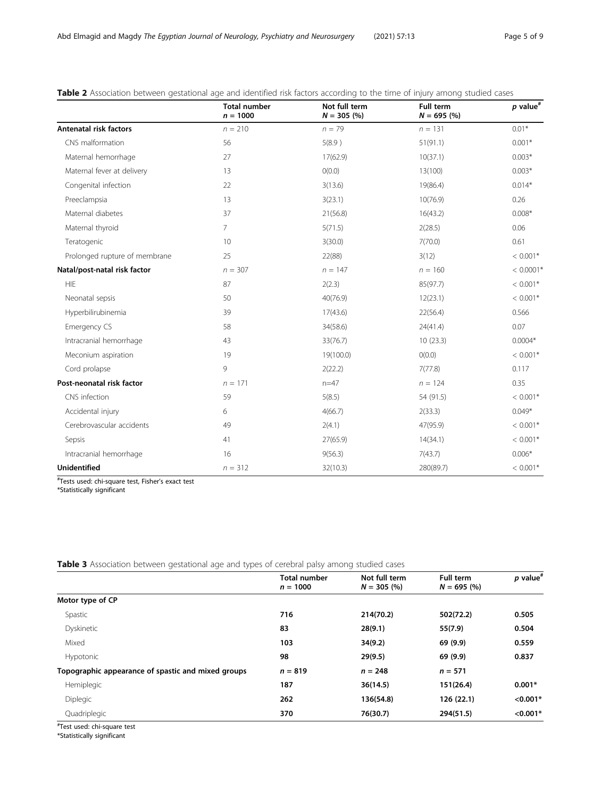|                               | <b>Total number</b><br>$n = 1000$ | Not full term<br>$N = 305$ (%) | <b>Full term</b><br>$N = 695$ (%) | $p$ value <sup>#</sup> |
|-------------------------------|-----------------------------------|--------------------------------|-----------------------------------|------------------------|
| <b>Antenatal risk factors</b> | $n = 210$                         | $n = 79$                       | $n = 131$                         | $0.01*$                |
| CNS malformation              | 56                                | 5(8.9)                         | 51(91.1)                          | $0.001*$               |
| Maternal hemorrhage           | 27                                | 17(62.9)                       | 10(37.1)                          | $0.003*$               |
| Maternal fever at delivery    | 13                                | O(0.0)                         | 13(100)                           | $0.003*$               |
| Congenital infection          | 22                                | 3(13.6)                        | 19(86.4)                          | $0.014*$               |
| Preeclampsia                  | 13                                | 3(23.1)                        | 10(76.9)                          | 0.26                   |
| Maternal diabetes             | 37                                | 21(56.8)                       | 16(43.2)                          | $0.008*$               |
| Maternal thyroid              | $\overline{7}$                    | 5(71.5)                        | 2(28.5)                           | 0.06                   |
| Teratogenic                   | 10                                | 3(30.0)                        | 7(70.0)                           | 0.61                   |
| Prolonged rupture of membrane | 25                                | 22(88)                         | 3(12)                             | $< 0.001*$             |
| Natal/post-natal risk factor  | $n = 307$                         | $n = 147$                      | $n = 160$                         | $< 0.0001*$            |
| <b>HIE</b>                    | 87                                | 2(2.3)                         | 85(97.7)                          | $< 0.001*$             |
| Neonatal sepsis               | 50                                | 40(76.9)                       | 12(23.1)                          | $< 0.001*$             |
| Hyperbilirubinemia            | 39                                | 17(43.6)                       | 22(56.4)                          | 0.566                  |
| Emergency CS                  | 58                                | 34(58.6)                       | 24(41.4)                          | 0.07                   |
| Intracranial hemorrhage       | 43                                | 33(76.7)                       | 10(23.3)                          | $0.0004*$              |
| Meconium aspiration           | 19                                | 19(100.0)                      | O(0.0)                            | $< 0.001*$             |
| Cord prolapse                 | 9                                 | 2(22.2)                        | 7(77.8)                           | 0.117                  |
| Post-neonatal risk factor     | $n = 171$                         | $n=47$                         | $n = 124$                         | 0.35                   |
| CNS infection                 | 59                                | 5(8.5)                         | 54 (91.5)                         | $< 0.001*$             |
| Accidental injury             | 6                                 | 4(66.7)                        | 2(33.3)                           | $0.049*$               |
| Cerebrovascular accidents     | 49                                | 2(4.1)                         | 47(95.9)                          | $< 0.001*$             |
| Sepsis                        | 41                                | 27(65.9)                       | 14(34.1)                          | $< 0.001*$             |
| Intracranial hemorrhage       | 16                                | 9(56.3)                        | 7(43.7)                           | $0.006*$               |
| <b>Unidentified</b>           | $n = 312$                         | 32(10.3)                       | 280(89.7)                         | $< 0.001*$             |

#### <span id="page-4-0"></span>Table 2 Association between gestational age and identified risk factors according to the time of injury among studied cases

# Tests used: chi-square test, Fisher's exact test

\*Statistically significant

Total number  $n = 1000$ Not full term  $N = 305 (%)$ Full term  $N = 695 (%)$  $p$  value# Motor type of CP Spastic 716 214(70.2) 502(72.2) 0.505 Dyskinetic 83 28(9.1) 55(7.9) 0.504 Mixed 103 34(9.2) 69 (9.9) 0.559 Hypotonic **198 29(9.5) 69 (9.9) 0.837** 29(9.5) 69 (9.9) **0.837** Topographic appearance of spastic and mixed groups  $n = 819$  n = 248 n = 571 Hemiplegic **187 36(14.5) 187 36(14.5) 151(26.4) 0.001**\* Diplegic 262 136(54.8) 126 (22.1) <0.001\* Quadriplegic 370 76(30.7) 294(51.5) <0.001\*

Table 3 Association between gestational age and types of cerebral palsy among studied cases

# Test used: chi-square test

\*Statistically significant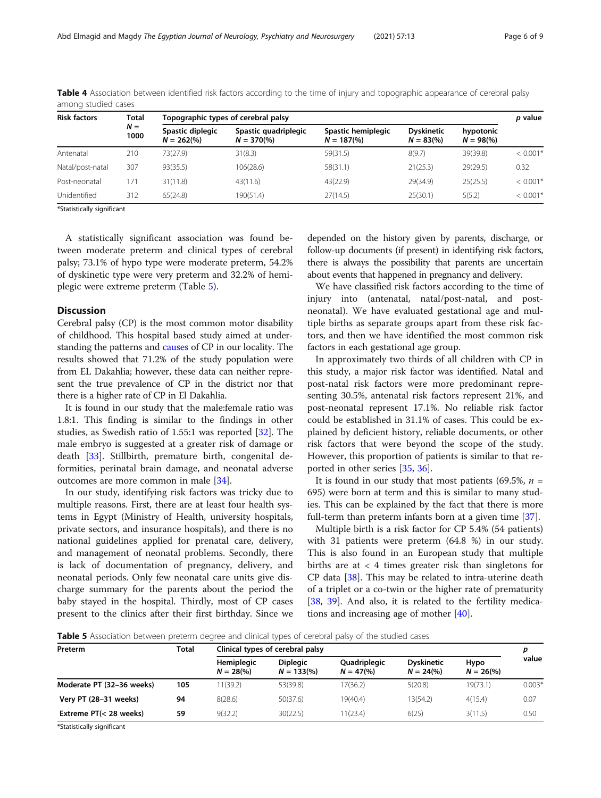| <b>Risk factors</b> | Total<br>$N =$<br>1000 | Topographic types of cerebral palsy      |                                     |                                            |                                  |                         |            |
|---------------------|------------------------|------------------------------------------|-------------------------------------|--------------------------------------------|----------------------------------|-------------------------|------------|
|                     |                        | Spastic diplegic<br>$N = 262\frac{6}{6}$ | Spastic quadriplegic<br>$N = 370\%$ | Spastic hemiplegic<br>$N = 187\frac{6}{6}$ | <b>Dyskinetic</b><br>$N = 83(%)$ | hypotonic<br>$N = 98\%$ |            |
| Antenatal           | 210                    | 73(27.9)                                 | 31(8.3)                             | 59(31.5)                                   | 8(9.7)                           | 39(39.8)                | $< 0.001*$ |
| Natal/post-natal    | 307                    | 93(35.5)                                 | 106(28.6)                           | 58(31.1)                                   | 21(25.3)                         | 29(29.5)                | 0.32       |
| Post-neonatal       | 171                    | 31(11.8)                                 | 43(11.6)                            | 43(22.9)                                   | 29(34.9)                         | 25(25.5)                | $< 0.001*$ |
| Unidentified        | 312                    | 65(24.8)                                 | 190(51.4)                           | 27(14.5)                                   | 25(30.1)                         | 5(5.2)                  | $< 0.001*$ |

<span id="page-5-0"></span>Table 4 Association between identified risk factors according to the time of injury and topographic appearance of cerebral palsy among studied cases

\*Statistically significant

A statistically significant association was found between moderate preterm and clinical types of cerebral palsy; 73.1% of hypo type were moderate preterm, 54.2% of dyskinetic type were very preterm and 32.2% of hemiplegic were extreme preterm (Table 5).

#### **Discussion**

Cerebral palsy (CP) is the most common motor disability of childhood. This hospital based study aimed at understanding the patterns and [causes](http://en.wikipedia.org/wiki/Cause) of CP in our locality. The results showed that 71.2% of the study population were from EL Dakahlia; however, these data can neither represent the true prevalence of CP in the district nor that there is a higher rate of CP in El Dakahlia.

It is found in our study that the male:female ratio was 1.8:1. This finding is similar to the findings in other studies, as Swedish ratio of 1.55:1 was reported [\[32](#page-8-0)]. The male embryo is suggested at a greater risk of damage or death [\[33](#page-8-0)]. Stillbirth, premature birth, congenital deformities, perinatal brain damage, and neonatal adverse outcomes are more common in male [[34\]](#page-8-0).

In our study, identifying risk factors was tricky due to multiple reasons. First, there are at least four health systems in Egypt (Ministry of Health, university hospitals, private sectors, and insurance hospitals), and there is no national guidelines applied for prenatal care, delivery, and management of neonatal problems. Secondly, there is lack of documentation of pregnancy, delivery, and neonatal periods. Only few neonatal care units give discharge summary for the parents about the period the baby stayed in the hospital. Thirdly, most of CP cases present to the clinics after their first birthday. Since we depended on the history given by parents, discharge, or follow-up documents (if present) in identifying risk factors, there is always the possibility that parents are uncertain about events that happened in pregnancy and delivery.

We have classified risk factors according to the time of injury into (antenatal, natal/post-natal, and postneonatal). We have evaluated gestational age and multiple births as separate groups apart from these risk factors, and then we have identified the most common risk factors in each gestational age group.

In approximately two thirds of all children with CP in this study, a major risk factor was identified. Natal and post-natal risk factors were more predominant representing 30.5%, antenatal risk factors represent 21%, and post-neonatal represent 17.1%. No reliable risk factor could be established in 31.1% of cases. This could be explained by deficient history, reliable documents, or other risk factors that were beyond the scope of the study. However, this proportion of patients is similar to that reported in other series [[35,](#page-8-0) [36](#page-8-0)].

It is found in our study that most patients (69.5%,  $n =$ 695) were born at term and this is similar to many studies. This can be explained by the fact that there is more full-term than preterm infants born at a given time [\[37](#page-8-0)].

Multiple birth is a risk factor for CP 5.4% (54 patients) with 31 patients were preterm (64.8 %) in our study. This is also found in an European study that multiple births are at  $\langle 4 \rangle$  times greater risk than singletons for CP data [\[38\]](#page-8-0). This may be related to intra-uterine death of a triplet or a co-twin or the higher rate of prematurity [[38,](#page-8-0) [39](#page-8-0)]. And also, it is related to the fertility medications and increasing age of mother [\[40](#page-8-0)].

Table 5 Association between preterm degree and clinical types of cerebral palsy of the studied cases

| Preterm                   | <b>Total</b> | Clinical types of cerebral palsy |                                 |                            |                                          |                             | p        |
|---------------------------|--------------|----------------------------------|---------------------------------|----------------------------|------------------------------------------|-----------------------------|----------|
|                           |              | Hemiplegic<br>$N = 28(%)$        | <b>Diplegic</b><br>$N = 133(%)$ | Quadriplegic<br>$N = 47(%$ | <b>Dyskinetic</b><br>$N = 24\frac{9}{6}$ | Hypo<br>$N = 26\frac{6}{6}$ | value    |
| Moderate PT (32-36 weeks) | 105          | 11(39.2)                         | 53(39.8)                        | 17(36.2)                   | 5(20.8)                                  | 19(73.1)                    | $0.003*$ |
| Very PT (28-31 weeks)     | 94           | 8(28.6)                          | 50(37.6)                        | 19(40.4)                   | 13(54.2)                                 | 4(15.4)                     | 0.07     |
| Extreme PT(< 28 weeks)    | 59           | 9(32.2)                          | 30(22.5)                        | 1(23.4)                    | 6(25)                                    | 3(11.5)                     | 0.50     |

\*Statistically significant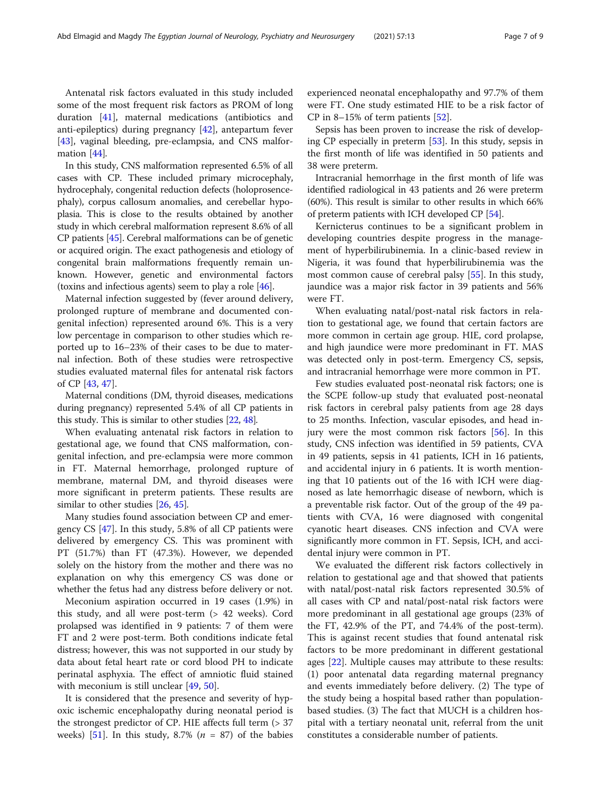Antenatal risk factors evaluated in this study included some of the most frequent risk factors as PROM of long duration [[41\]](#page-8-0), maternal medications (antibiotics and anti-epileptics) during pregnancy [[42\]](#page-8-0), antepartum fever [[43\]](#page-8-0), vaginal bleeding, pre-eclampsia, and CNS malformation [[44](#page-8-0)].

In this study, CNS malformation represented 6.5% of all cases with CP. These included primary microcephaly, hydrocephaly, congenital reduction defects (holoprosencephaly), corpus callosum anomalies, and cerebellar hypoplasia. This is close to the results obtained by another study in which cerebral malformation represent 8.6% of all CP patients [\[45\]](#page-8-0). Cerebral malformations can be of genetic or acquired origin. The exact pathogenesis and etiology of congenital brain malformations frequently remain unknown. However, genetic and environmental factors (toxins and infectious agents) seem to play a role [\[46\]](#page-8-0).

Maternal infection suggested by (fever around delivery, prolonged rupture of membrane and documented congenital infection) represented around 6%. This is a very low percentage in comparison to other studies which reported up to 16–23% of their cases to be due to maternal infection. Both of these studies were retrospective studies evaluated maternal files for antenatal risk factors of CP [[43,](#page-8-0) [47\]](#page-8-0).

Maternal conditions (DM, thyroid diseases, medications during pregnancy) represented 5.4% of all CP patients in this study. This is similar to other studies [[22,](#page-8-0) [48\]](#page-8-0).

When evaluating antenatal risk factors in relation to gestational age, we found that CNS malformation, congenital infection, and pre-eclampsia were more common in FT. Maternal hemorrhage, prolonged rupture of membrane, maternal DM, and thyroid diseases were more significant in preterm patients. These results are similar to other studies [\[26](#page-8-0), [45](#page-8-0)].

Many studies found association between CP and emergency CS [[47\]](#page-8-0). In this study, 5.8% of all CP patients were delivered by emergency CS. This was prominent with PT (51.7%) than FT (47.3%). However, we depended solely on the history from the mother and there was no explanation on why this emergency CS was done or whether the fetus had any distress before delivery or not.

Meconium aspiration occurred in 19 cases (1.9%) in this study, and all were post-term (> 42 weeks). Cord prolapsed was identified in 9 patients: 7 of them were FT and 2 were post-term. Both conditions indicate fetal distress; however, this was not supported in our study by data about fetal heart rate or cord blood PH to indicate perinatal asphyxia. The effect of amniotic fluid stained with meconium is still unclear [\[49,](#page-8-0) [50\]](#page-8-0).

It is considered that the presence and severity of hypoxic ischemic encephalopathy during neonatal period is the strongest predictor of CP. HIE affects full term (> 37 weeks) [[51\]](#page-8-0). In this study, 8.7% ( $n = 87$ ) of the babies

experienced neonatal encephalopathy and 97.7% of them were FT. One study estimated HIE to be a risk factor of CP in 8–15% of term patients  $[52]$  $[52]$ .

Sepsis has been proven to increase the risk of developing CP especially in preterm [\[53](#page-8-0)]. In this study, sepsis in the first month of life was identified in 50 patients and 38 were preterm.

Intracranial hemorrhage in the first month of life was identified radiological in 43 patients and 26 were preterm (60%). This result is similar to other results in which 66% of preterm patients with ICH developed CP [[54](#page-8-0)].

Kernicterus continues to be a significant problem in developing countries despite progress in the management of hyperbilirubinemia. In a clinic-based review in Nigeria, it was found that hyperbilirubinemia was the most common cause of cerebral palsy [[55](#page-8-0)]. In this study, jaundice was a major risk factor in 39 patients and 56% were FT.

When evaluating natal/post-natal risk factors in relation to gestational age, we found that certain factors are more common in certain age group. HIE, cord prolapse, and high jaundice were more predominant in FT. MAS was detected only in post-term. Emergency CS, sepsis, and intracranial hemorrhage were more common in PT.

Few studies evaluated post-neonatal risk factors; one is the SCPE follow-up study that evaluated post-neonatal risk factors in cerebral palsy patients from age 28 days to 25 months. Infection, vascular episodes, and head injury were the most common risk factors [[56\]](#page-8-0). In this study, CNS infection was identified in 59 patients, CVA in 49 patients, sepsis in 41 patients, ICH in 16 patients, and accidental injury in 6 patients. It is worth mentioning that 10 patients out of the 16 with ICH were diagnosed as late hemorrhagic disease of newborn, which is a preventable risk factor. Out of the group of the 49 patients with CVA, 16 were diagnosed with congenital cyanotic heart diseases. CNS infection and CVA were significantly more common in FT. Sepsis, ICH, and accidental injury were common in PT.

We evaluated the different risk factors collectively in relation to gestational age and that showed that patients with natal/post-natal risk factors represented 30.5% of all cases with CP and natal/post-natal risk factors were more predominant in all gestational age groups (23% of the FT, 42.9% of the PT, and 74.4% of the post-term). This is against recent studies that found antenatal risk factors to be more predominant in different gestational ages [[22](#page-8-0)]. Multiple causes may attribute to these results: (1) poor antenatal data regarding maternal pregnancy and events immediately before delivery. (2) The type of the study being a hospital based rather than populationbased studies. (3) The fact that MUCH is a children hospital with a tertiary neonatal unit, referral from the unit constitutes a considerable number of patients.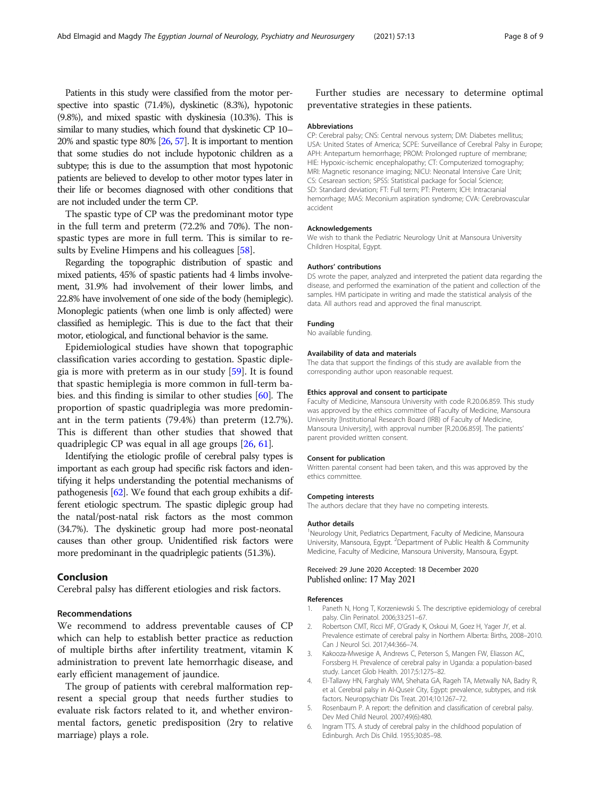<span id="page-7-0"></span>Patients in this study were classified from the motor perspective into spastic (71.4%), dyskinetic (8.3%), hypotonic (9.8%), and mixed spastic with dyskinesia (10.3%). This is similar to many studies, which found that dyskinetic CP 10– 20% and spastic type 80% [[26,](#page-8-0) [57\]](#page-8-0). It is important to mention that some studies do not include hypotonic children as a subtype; this is due to the assumption that most hypotonic patients are believed to develop to other motor types later in their life or becomes diagnosed with other conditions that are not included under the term CP.

The spastic type of CP was the predominant motor type in the full term and preterm (72.2% and 70%). The nonspastic types are more in full term. This is similar to results by Eveline Himpens and his colleagues [[58\]](#page-8-0).

Regarding the topographic distribution of spastic and mixed patients, 45% of spastic patients had 4 limbs involvement, 31.9% had involvement of their lower limbs, and 22.8% have involvement of one side of the body (hemiplegic). Monoplegic patients (when one limb is only affected) were classified as hemiplegic. This is due to the fact that their motor, etiological, and functional behavior is the same.

Epidemiological studies have shown that topographic classification varies according to gestation. Spastic diplegia is more with preterm as in our study [[59](#page-8-0)]. It is found that spastic hemiplegia is more common in full-term babies. and this finding is similar to other studies [\[60\]](#page-8-0). The proportion of spastic quadriplegia was more predominant in the term patients (79.4%) than preterm (12.7%). This is different than other studies that showed that quadriplegic CP was equal in all age groups [\[26](#page-8-0), [61](#page-8-0)].

Identifying the etiologic profile of cerebral palsy types is important as each group had specific risk factors and identifying it helps understanding the potential mechanisms of pathogenesis [\[62\]](#page-8-0). We found that each group exhibits a different etiologic spectrum. The spastic diplegic group had the natal/post-natal risk factors as the most common (34.7%). The dyskinetic group had more post-neonatal causes than other group. Unidentified risk factors were more predominant in the quadriplegic patients (51.3%).

#### Conclusion

Cerebral palsy has different etiologies and risk factors.

#### Recommendations

We recommend to address preventable causes of CP which can help to establish better practice as reduction of multiple births after infertility treatment, vitamin K administration to prevent late hemorrhagic disease, and early efficient management of jaundice.

The group of patients with cerebral malformation represent a special group that needs further studies to evaluate risk factors related to it, and whether environmental factors, genetic predisposition (2ry to relative marriage) plays a role.

Further studies are necessary to determine optimal preventative strategies in these patients.

#### Abbreviations

CP: Cerebral palsy; CNS: Central nervous system; DM: Diabetes mellitus; USA: United States of America; SCPE: Surveillance of Cerebral Palsy in Europe; APH: Antepartum hemorrhage; PROM: Prolonged rupture of membrane; HIE: Hypoxic-ischemic encephalopathy; CT: Computerized tomography; MRI: Magnetic resonance imaging; NICU: Neonatal Intensive Care Unit; CS: Cesarean section; SPSS: Statistical package for Social Science; SD: Standard deviation; FT: Full term; PT: Preterm; ICH: Intracranial hemorrhage; MAS: Meconium aspiration syndrome; CVA: Cerebrovascular accident

#### Acknowledgements

We wish to thank the Pediatric Neurology Unit at Mansoura University Children Hospital, Egypt.

#### Authors' contributions

DS wrote the paper, analyzed and interpreted the patient data regarding the disease, and performed the examination of the patient and collection of the samples. HM participate in writing and made the statistical analysis of the data. All authors read and approved the final manuscript.

#### Funding

No available funding.

#### Availability of data and materials

The data that support the findings of this study are available from the corresponding author upon reasonable request.

#### Ethics approval and consent to participate

Faculty of Medicine, Mansoura University with code R.20.06.859. This study was approved by the ethics committee of Faculty of Medicine, Mansoura University [Institutional Research Board (IRB) of Faculty of Medicine, Mansoura University], with approval number [R.20.06.859]. The patients' parent provided written consent.

#### Consent for publication

Written parental consent had been taken, and this was approved by the ethics committee.

#### Competing interests

The authors declare that they have no competing interests.

#### Author details

<sup>1</sup>Neurology Unit, Pediatrics Department, Faculty of Medicine, Mansoura University, Mansoura, Egypt. <sup>2</sup> Department of Public Health & Community Medicine, Faculty of Medicine, Mansoura University, Mansoura, Egypt.

#### Received: 29 June 2020 Accepted: 18 December 2020 Published online: 17 May 2021

#### References

- 1. Paneth N, Hong T, Korzeniewski S. The descriptive epidemiology of cerebral palsy. Clin Perinatol. 2006;33:251–67.
- 2. Robertson CMT, Ricci MF, O'Grady K, Oskoui M, Goez H, Yager JY, et al. Prevalence estimate of cerebral palsy in Northern Alberta: Births, 2008–2010. Can J Neurol Sci. 2017;44:366–74.
- Kakooza-Mwesige A, Andrews C, Peterson S, Mangen FW, Eliasson AC, Forssberg H. Prevalence of cerebral palsy in Uganda: a population-based study. Lancet Glob Health. 2017;5:1275–82.
- 4. EI-Tallawy HN, Farghaly WM, Shehata GA, Rageh TA, Metwally NA, Badry R, et al. Cerebral palsy in AI-Quseir City, Egypt: prevalence, subtypes, and risk factors. Neuropsychiatr Dis Treat. 2014;10:1267–72.
- 5. Rosenbaum P. A report: the definition and classification of cerebral palsy. Dev Med Child Neurol. 2007;49(6):480.
- 6. Ingram TTS. A study of cerebral palsy in the childhood population of Edinburgh. Arch Dis Child. 1955;30:85–98.